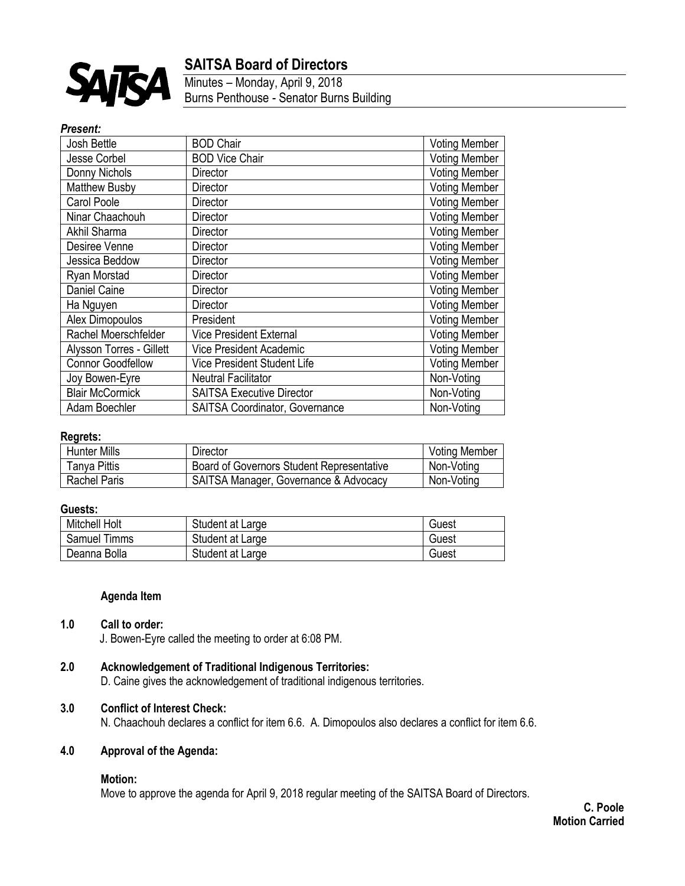

# **SAITSA Board of Directors**

Minutes – Monday, April 9, 2018 Burns Penthouse - Senator Burns Building

#### *Present:*

| Josh Bettle              | <b>BOD Chair</b>                      | <b>Voting Member</b> |
|--------------------------|---------------------------------------|----------------------|
| <b>Jesse Corbel</b>      | <b>BOD Vice Chair</b>                 | <b>Voting Member</b> |
| Donny Nichols            | Director                              | <b>Voting Member</b> |
| <b>Matthew Busby</b>     | Director                              | <b>Voting Member</b> |
| <b>Carol Poole</b>       | Director                              | <b>Voting Member</b> |
| Ninar Chaachouh          | Director                              | <b>Voting Member</b> |
| Akhil Sharma             | Director                              | <b>Voting Member</b> |
| Desiree Venne            | Director                              | <b>Voting Member</b> |
| Jessica Beddow           | Director                              | <b>Voting Member</b> |
| Ryan Morstad             | Director                              | <b>Voting Member</b> |
| Daniel Caine             | Director                              | <b>Voting Member</b> |
| Ha Nguyen                | Director                              | <b>Voting Member</b> |
| Alex Dimopoulos          | President                             | <b>Voting Member</b> |
| Rachel Moerschfelder     | <b>Vice President External</b>        | <b>Voting Member</b> |
| Alysson Torres - Gillett | Vice President Academic               | <b>Voting Member</b> |
| <b>Connor Goodfellow</b> | <b>Vice President Student Life</b>    | <b>Voting Member</b> |
| Joy Bowen-Eyre           | <b>Neutral Facilitator</b>            | Non-Voting           |
| <b>Blair McCormick</b>   | <b>SAITSA Executive Director</b>      | Non-Voting           |
| Adam Boechler            | <b>SAITSA Coordinator, Governance</b> | Non-Voting           |

#### **Regrets:**

| <b>Hunter Mills</b> | Director                                         | <b>Voting Member</b> |
|---------------------|--------------------------------------------------|----------------------|
| Tanya Pittis        | <b>Board of Governors Student Representative</b> | Non-Voting           |
| Rachel Paris        | SAITSA Manager, Governance & Advocacy            | Non-Voting           |

#### **Guests:**

| <b>Mitchell Holt</b> | Student at Large | Guest |
|----------------------|------------------|-------|
| <b>Samuel Timms</b>  | Student at Large | Guest |
| Deanna Bolla         | Student at Large | Guest |

#### **Agenda Item**

#### **1.0 Call to order:**

- J. Bowen-Eyre called the meeting to order at 6:08 PM.
- **2.0 Acknowledgement of Traditional Indigenous Territories:**
	- D. Caine gives the acknowledgement of traditional indigenous territories.

#### **3.0 Conflict of Interest Check:**

N. Chaachouh declares a conflict for item 6.6. A. Dimopoulos also declares a conflict for item 6.6.

### **4.0 Approval of the Agenda:**

#### **Motion:**

Move to approve the agenda for April 9, 2018 regular meeting of the SAITSA Board of Directors.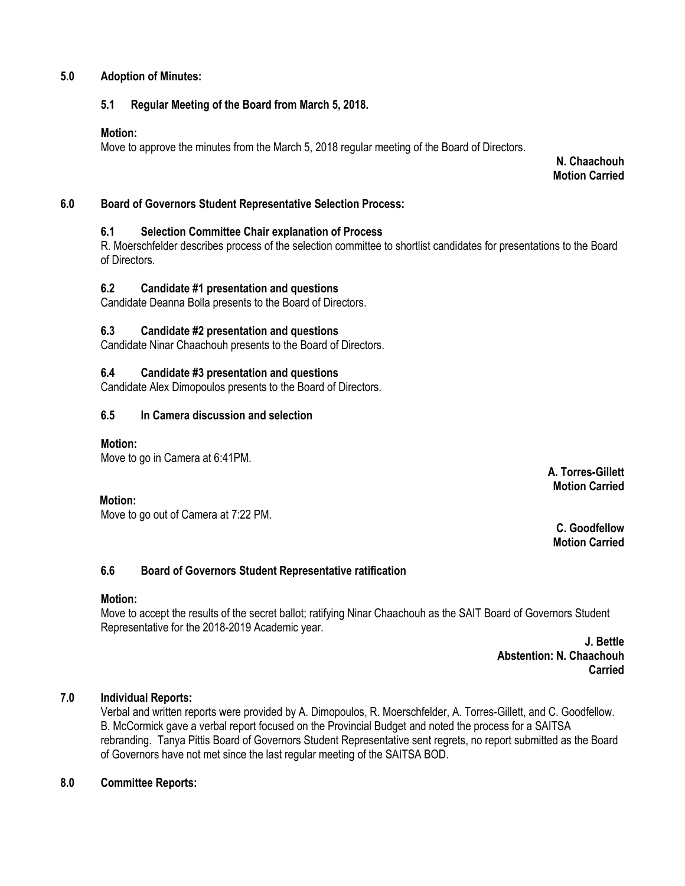### **5.0 Adoption of Minutes:**

# **5.1 Regular Meeting of the Board from March 5, 2018.**

#### **Motion:**

Move to approve the minutes from the March 5, 2018 regular meeting of the Board of Directors.

**N. Chaachouh Motion Carried**

### **6.0 Board of Governors Student Representative Selection Process:**

# **6.1 Selection Committee Chair explanation of Process**

R. Moerschfelder describes process of the selection committee to shortlist candidates for presentations to the Board of Directors.

### **6.2 Candidate #1 presentation and questions**

Candidate Deanna Bolla presents to the Board of Directors.

# **6.3 Candidate #2 presentation and questions**

Candidate Ninar Chaachouh presents to the Board of Directors.

### **6.4 Candidate #3 presentation and questions**

Candidate Alex Dimopoulos presents to the Board of Directors.

# **6.5 In Camera discussion and selection**

#### **Motion:**

Move to go in Camera at 6:41PM.

#### **Motion:**

Move to go out of Camera at 7:22 PM.

**A. Torres-Gillett Motion Carried**

**C. Goodfellow Motion Carried**

# **6.6 Board of Governors Student Representative ratification**

#### **Motion:**

Move to accept the results of the secret ballot; ratifying Ninar Chaachouh as the SAIT Board of Governors Student Representative for the 2018-2019 Academic year.

> **J. Bettle Abstention: N. Chaachouh Carried**

# **7.0 Individual Reports:**

Verbal and written reports were provided by A. Dimopoulos, R. Moerschfelder, A. Torres-Gillett, and C. Goodfellow. B. McCormick gave a verbal report focused on the Provincial Budget and noted the process for a SAITSA rebranding. Tanya Pittis Board of Governors Student Representative sent regrets, no report submitted as the Board of Governors have not met since the last regular meeting of the SAITSA BOD.

# **8.0 Committee Reports:**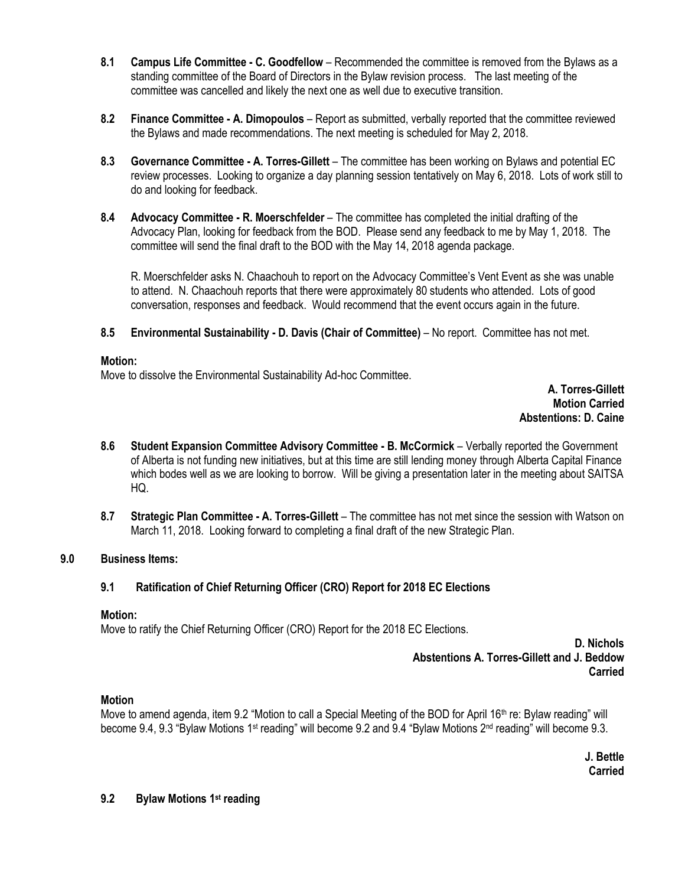- **8.1 Campus Life Committee - C. Goodfellow** Recommended the committee is removed from the Bylaws as a standing committee of the Board of Directors in the Bylaw revision process. The last meeting of the committee was cancelled and likely the next one as well due to executive transition.
- **8.2 Finance Committee - A. Dimopoulos** Report as submitted, verbally reported that the committee reviewed the Bylaws and made recommendations. The next meeting is scheduled for May 2, 2018.
- **8.3 Governance Committee - A. Torres-Gillett**  The committee has been working on Bylaws and potential EC review processes. Looking to organize a day planning session tentatively on May 6, 2018. Lots of work still to do and looking for feedback.
- **8.4 Advocacy Committee - R. Moerschfelder** The committee has completed the initial drafting of the Advocacy Plan, looking for feedback from the BOD. Please send any feedback to me by May 1, 2018. The committee will send the final draft to the BOD with the May 14, 2018 agenda package.

R. Moerschfelder asks N. Chaachouh to report on the Advocacy Committee's Vent Event as she was unable to attend. N. Chaachouh reports that there were approximately 80 students who attended. Lots of good conversation, responses and feedback. Would recommend that the event occurs again in the future.

**8.5 Environmental Sustainability - D. Davis (Chair of Committee)** – No report. Committee has not met.

#### **Motion:**

Move to dissolve the Environmental Sustainability Ad-hoc Committee.

**A. Torres-Gillett Motion Carried Abstentions: D. Caine**

- **8.6 Student Expansion Committee Advisory Committee - B. McCormick** Verbally reported the Government of Alberta is not funding new initiatives, but at this time are still lending money through Alberta Capital Finance which bodes well as we are looking to borrow. Will be giving a presentation later in the meeting about SAITSA HQ.
- **8.7 Strategic Plan Committee - A. Torres-Gillett** The committee has not met since the session with Watson on March 11, 2018. Looking forward to completing a final draft of the new Strategic Plan.

#### **9.0 Business Items:**

#### **9.1 Ratification of Chief Returning Officer (CRO) Report for 2018 EC Elections**

#### **Motion:**

Move to ratify the Chief Returning Officer (CRO) Report for the 2018 EC Elections.

**D. Nichols Abstentions A. Torres-Gillett and J. Beddow Carried**

#### **Motion**

Move to amend agenda, item 9.2 "Motion to call a Special Meeting of the BOD for April 16<sup>th</sup> re: Bylaw reading" will become 9.4, 9.3 "Bylaw Motions 1st reading" will become 9.2 and 9.4 "Bylaw Motions 2nd reading" will become 9.3.

> **J. Bettle Carried**

#### **9.2 Bylaw Motions 1st reading**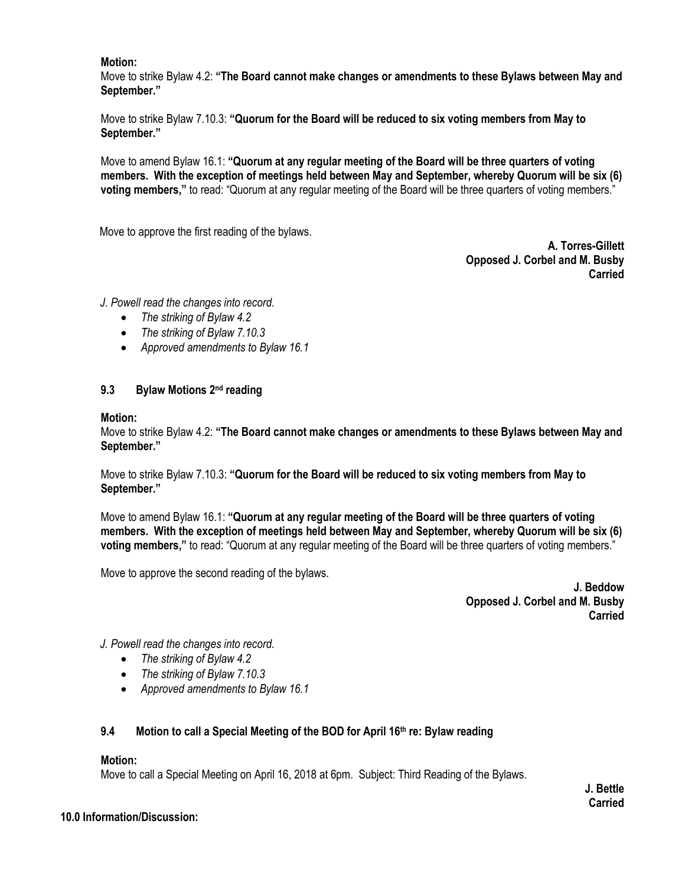#### **Motion:**

Move to strike Bylaw 4.2: **"The Board cannot make changes or amendments to these Bylaws between May and September."**

Move to strike Bylaw 7.10.3: **"Quorum for the Board will be reduced to six voting members from May to September."**

Move to amend Bylaw 16.1: **"Quorum at any regular meeting of the Board will be three quarters of voting members. With the exception of meetings held between May and September, whereby Quorum will be six (6) voting members,"** to read: "Quorum at any regular meeting of the Board will be three quarters of voting members."

Move to approve the first reading of the bylaws.

**A. Torres-Gillett Opposed J. Corbel and M. Busby Carried**

*J. Powell read the changes into record.*

- *The striking of Bylaw 4.2*
- *The striking of Bylaw 7.10.3*
- *Approved amendments to Bylaw 16.1*

#### **9.3 Bylaw Motions 2nd reading**

#### **Motion:**

Move to strike Bylaw 4.2: **"The Board cannot make changes or amendments to these Bylaws between May and September."**

Move to strike Bylaw 7.10.3: **"Quorum for the Board will be reduced to six voting members from May to September."**

Move to amend Bylaw 16.1: **"Quorum at any regular meeting of the Board will be three quarters of voting members. With the exception of meetings held between May and September, whereby Quorum will be six (6) voting members,"** to read: "Quorum at any regular meeting of the Board will be three quarters of voting members."

Move to approve the second reading of the bylaws.

**J. Beddow Opposed J. Corbel and M. Busby Carried**

*J. Powell read the changes into record.*

- *The striking of Bylaw 4.2*
- *The striking of Bylaw 7.10.3*
- *Approved amendments to Bylaw 16.1*

#### **9.4 Motion to call a Special Meeting of the BOD for April 16th re: Bylaw reading**

#### **Motion:**

Move to call a Special Meeting on April 16, 2018 at 6pm. Subject: Third Reading of the Bylaws.